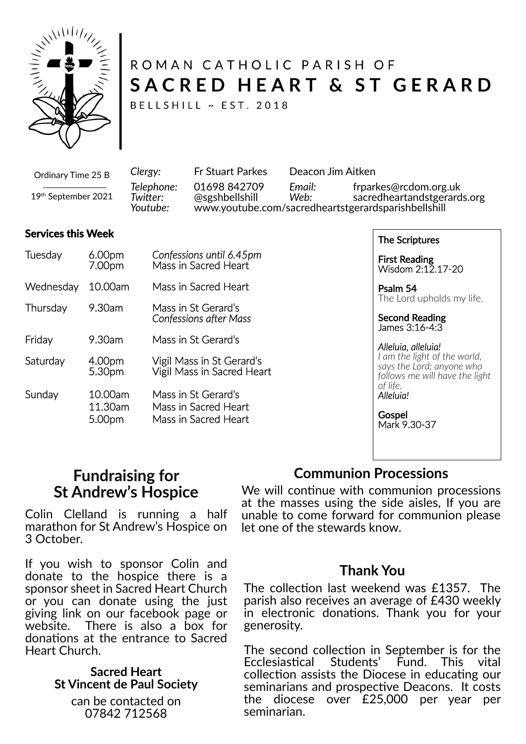

# ROMAN CATHOLIC PARISH OF SACRED HEART & ST GERARD

BELLSHILL ~ EST. 2018

*Clergy:* Fr Stuart Parkes Deacon Jim Aitken *Telephone:* 01698 842709 *Email:* frparkes@rcdom.org.uk *Twi�er:* @sgshbellshill *Web:* sacredheartandstgerards.org *Youtube:* www.youtube.com/sacredheartstgerardsparishbellshill Ordinary Time 25 B 19th September 2021

#### **Services this Week**

| Tuesday   | 6.00pm<br>7.00pm             | Confessions until 6.45pm<br>Mass in Sacred Heart                    |
|-----------|------------------------------|---------------------------------------------------------------------|
| Wednesday | 10.00am                      | Mass in Sacred Heart                                                |
| Thursday  | 9.30am                       | Mass in St Gerard's<br><b>Confessions after Mass</b>                |
| Friday    | 9.30am                       | Mass in St Gerard's                                                 |
| Saturday  | 4.00pm<br>5.30pm             | Vigil Mass in St Gerard's<br>Vigil Mass in Sacred Heart             |
| Sunday    | 10.00am<br>11.30am<br>5.00pm | Mass in St Gerard's<br>Mass in Sacred Heart<br>Mass in Sacred Heart |

The Scriptures

First Reading Wisdom 2:12.17-20

Psalm 54 The Lord upholds my life.

Second Reading James 3:16-4:3

*Alleluia, alleluia! I am the light of the world, says the Lord; anyone who follows me will have the light of life. Alleluia!*

**Gospel** Mark 9.30-37

### **Fundraising for St Andrew's Hospice**

Colin Clelland is running a half marathon for St Andrew's Hospice on 3 October.

If you wish to sponsor Colin and donate to the hospice there is a sponsor sheet in Sacred Heart Church or you can donate using the just giving link on our facebook page or website. There is also a box for donations at the entrance to Sacred Heart Church.

### **Sacred Heart St Vincent de Paul Society**

can be contacted on 07842 712568

### **Communion Processions**

We will continue with communion processions at the masses using the side aisles, If you are unable to come forward for communion please let one of the stewards know.

### **Thank You**

The collection last weekend was £1357. The parish also receives an average of £430 weekly in electronic donations. Thank you for your generosity.

The second collection in September is for the Ecclesias�cal Students' Fund. This vital collection assists the Diocese in educating our seminarians and prospective Deacons. It costs the diocese over £25,000 per year per seminarian.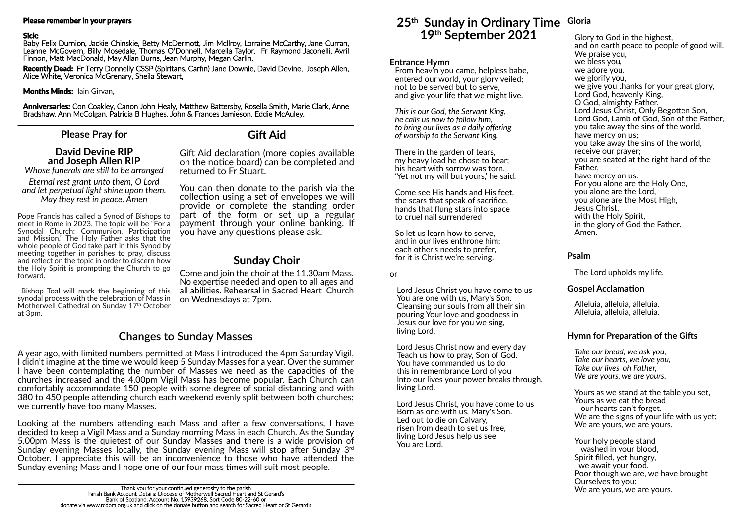### **Please Pray for**

### **David Devine RIP and Joseph Allen RIP**

*Whose funerals are s�ll to be arranged*

*Eternal rest grant unto them, O Lord and let perpetual light shine upon them. May they rest in peace. Amen*

### **Sunday Choir**

Come and join the choir at the 11.30am Mass. No expertise needed and open to all ages and all abilities. Rehearsal in Sacred Heart Church on Wednesdays at 7pm.

Pope Francis has called a Synod of Bishops to meet in Rome in 2023. The topic will be "For a Synodal Church: Communion, Participation and Mission." The Holy Father asks that the whole people of God take part in this Synod by meeting together in parishes to pray, discuss and reflect on the topic in order to discern how the Holy Spirit is prompting the Church to go forward.

**Anniversaries:** Con Coakley, Canon John Healy, Matthew Battersby, Rosella Smith, Marie Clark, Anne Bradshaw, Ann McColgan, Patricia B Hughes, John & Frances Jamieson, Eddie McAuley,

> Gift Aid declaration (more copies available on the no�ce board) can be completed and returned to Fr Stuart.

You can then donate to the parish via the collection using a set of envelopes we will provide or complete the standing order part of the form or set up a regular payment through your online banking. If you have any questions please ask.

Bishop Toal will mark the beginning of this synodal process with the celebration of Mass in Motherwell Cathedral on Sunday 17<sup>th</sup> October at 3pm.

### **Gift Aid**

#### **Please remember in your prayers**

#### **Sick:**

Baby Felix Durnion, Jackie Chinskie, Betty McDermott, Jim McIlroy, Lorraine McCarthy, Jane Curran, Leanne McGovern, Billy Mosedale, Thomas O'Donnell, Marcella Taylor, Fr Raymond Jaconelli, Avril Finnon, Matt MacDonald, May Allan Burns, Jean Murphy, Megan Carlin,

**Recently Dead:** Fr Terry Donnelly CSSP (Spiritans, Carfin) Jane Downie, David Devine, Joseph Allen, Alice White, Veronica McGrenary, Sheila Stewart,

#### **Months Minds:** Iain Girvan,

### **25th Sunday in Ordinary Time Gloria 19th September 2021**

### **Entrance Hymn**

From heav'n you came, helpless babe, entered our world, your glory veiled; not to be served but to serve, and give your life that we might live.

*This is our God, the Servant King, he calls us now to follow him, to bring our lives as a daily offering of worship to the Servant King.*

There in the garden of tears, my heavy load he chose to bear; his heart with sorrow was torn. 'Yet not my will but yours,' he said.

Come see His hands and His feet, the scars that speak of sacrifice, hands that flung stars into space to cruel nail surrendered

So let us learn how to serve, and in our lives enthrone him; each other's needs to prefer, for it is Christ we're serving.

or

Lord Jesus Christ you have come to us You are one with us, Mary's Son. Cleansing our souls from all their sin pouring Your love and goodness in Jesus our love for you we sing, living Lord.

Lord Jesus Christ now and every day Teach us how to pray, Son of God. You have commanded us to do this in remembrance Lord of you Into our lives your power breaks through, living Lord.

Lord Jesus Christ, you have come to us Born as one with us, Mary's Son. Led out to die on Calvary, risen from death to set us free, living Lord Jesus help us see You are Lord.

Glory to God in the highest, and on earth peace to people of good will. We praise you, we bless you, we adore you, we glorify you, we give you thanks for your great glory, Lord God, heavenly King, O God, almighty Father. Lord Jesus Christ, Only Begotten Son, Lord God, Lamb of God, Son of the Father, you take away the sins of the world, have mercy on us; you take away the sins of the world, receive our prayer; you are seated at the right hand of the Father, have mercy on us. For you alone are the Holy One, you alone are the Lord, you alone are the Most High, Jesus Christ, with the Holy Spirit. in the glory of God the Father. Amen.

### **Psalm**

The Lord upholds my life.

### **Gospel Acclamation**

Alleluia, alleluia, alleluia. Alleluia, alleluia, alleluia.

### **Hymn for Preparation of the Gifts**

*Take our bread, we ask you, Take our hearts, we love you, Take our lives, oh Father, We are yours, we are yours.*

Yours as we stand at the table you set, Yours as we eat the bread our hearts can't forget. We are the signs of your life with us yet; We are yours, we are yours.

Your holy people stand washed in your blood, Spirit filled, yet hungry, we await your food. Poor though we are, we have brought Ourselves to you: We are yours, we are yours.

## **Changes to Sunday Masses**

A year ago, with limited numbers permi�ed at Mass I introduced the 4pm Saturday Vigil, I didn't imagine at the time we would keep 5 Sunday Masses for a year. Over the summer I have been contemplating the number of Masses we need as the capacities of the churches increased and the 4.00pm Vigil Mass has become popular. Each Church can comfortably accommodate 150 people with some degree of social distancing and with 380 to 450 people attending church each weekend evenly split between both churches; we currently have too many Masses.

Looking at the numbers attending each Mass and after a few conversations, I have decided to keep a Vigil Mass and a Sunday morning Mass in each Church. As the Sunday 5.00pm Mass is the quietest of our Sunday Masses and there is a wide provision of Sunday evening Masses locally, the Sunday evening Mass will stop after Sunday  $3<sup>rd</sup>$ October. I appreciate this will be an inconvenience to those who have attended the Sunday evening Mass and I hope one of our four mass times will suit most people.